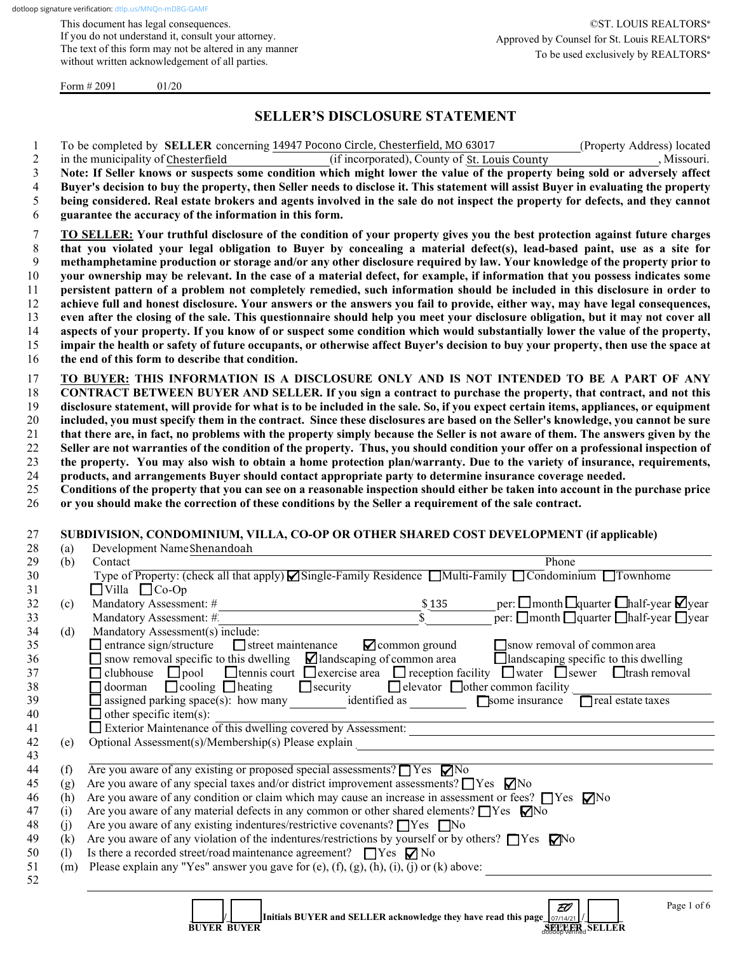This document has legal consequences. If you do not understand it, consult your attorney. The text of this form may not be altered in any manner without written acknowledgement of all parties.

Form  $\# 2091$  01/20

## **SELLER'S DISCLOSURE STATEMENT**

1 To be completed by **SELLER** concerning 14947 Pocono Circle, Chesterfield, MO 63017 (Property Address) located

|                                 | (if incorporated), County of St. Louis County<br>in the municipality of Chesterfield<br>, Missouri.                                                                                                                                                                                                                                                                                                                                                                                                                                                                                                                                                                                                                                                                                                                                                                                                                                                                                                                                                                                                                                                                                                                                                                                                                                                                                                                                                                                                |
|---------------------------------|----------------------------------------------------------------------------------------------------------------------------------------------------------------------------------------------------------------------------------------------------------------------------------------------------------------------------------------------------------------------------------------------------------------------------------------------------------------------------------------------------------------------------------------------------------------------------------------------------------------------------------------------------------------------------------------------------------------------------------------------------------------------------------------------------------------------------------------------------------------------------------------------------------------------------------------------------------------------------------------------------------------------------------------------------------------------------------------------------------------------------------------------------------------------------------------------------------------------------------------------------------------------------------------------------------------------------------------------------------------------------------------------------------------------------------------------------------------------------------------------------|
|                                 | Note: If Seller knows or suspects some condition which might lower the value of the property being sold or adversely affect                                                                                                                                                                                                                                                                                                                                                                                                                                                                                                                                                                                                                                                                                                                                                                                                                                                                                                                                                                                                                                                                                                                                                                                                                                                                                                                                                                        |
|                                 | Buyer's decision to buy the property, then Seller needs to disclose it. This statement will assist Buyer in evaluating the property                                                                                                                                                                                                                                                                                                                                                                                                                                                                                                                                                                                                                                                                                                                                                                                                                                                                                                                                                                                                                                                                                                                                                                                                                                                                                                                                                                |
|                                 | being considered. Real estate brokers and agents involved in the sale do not inspect the property for defects, and they cannot                                                                                                                                                                                                                                                                                                                                                                                                                                                                                                                                                                                                                                                                                                                                                                                                                                                                                                                                                                                                                                                                                                                                                                                                                                                                                                                                                                     |
|                                 | guarantee the accuracy of the information in this form.                                                                                                                                                                                                                                                                                                                                                                                                                                                                                                                                                                                                                                                                                                                                                                                                                                                                                                                                                                                                                                                                                                                                                                                                                                                                                                                                                                                                                                            |
|                                 | TO SELLER: Your truthful disclosure of the condition of your property gives you the best protection against future charges                                                                                                                                                                                                                                                                                                                                                                                                                                                                                                                                                                                                                                                                                                                                                                                                                                                                                                                                                                                                                                                                                                                                                                                                                                                                                                                                                                         |
|                                 | that you violated your legal obligation to Buyer by concealing a material defect(s), lead-based paint, use as a site for                                                                                                                                                                                                                                                                                                                                                                                                                                                                                                                                                                                                                                                                                                                                                                                                                                                                                                                                                                                                                                                                                                                                                                                                                                                                                                                                                                           |
|                                 | methamphetamine production or storage and/or any other disclosure required by law. Your knowledge of the property prior to                                                                                                                                                                                                                                                                                                                                                                                                                                                                                                                                                                                                                                                                                                                                                                                                                                                                                                                                                                                                                                                                                                                                                                                                                                                                                                                                                                         |
|                                 | your ownership may be relevant. In the case of a material defect, for example, if information that you possess indicates some                                                                                                                                                                                                                                                                                                                                                                                                                                                                                                                                                                                                                                                                                                                                                                                                                                                                                                                                                                                                                                                                                                                                                                                                                                                                                                                                                                      |
|                                 | persistent pattern of a problem not completely remedied, such information should be included in this disclosure in order to                                                                                                                                                                                                                                                                                                                                                                                                                                                                                                                                                                                                                                                                                                                                                                                                                                                                                                                                                                                                                                                                                                                                                                                                                                                                                                                                                                        |
|                                 | achieve full and honest disclosure. Your answers or the answers you fail to provide, either way, may have legal consequences,                                                                                                                                                                                                                                                                                                                                                                                                                                                                                                                                                                                                                                                                                                                                                                                                                                                                                                                                                                                                                                                                                                                                                                                                                                                                                                                                                                      |
|                                 | even after the closing of the sale. This questionnaire should help you meet your disclosure obligation, but it may not cover all                                                                                                                                                                                                                                                                                                                                                                                                                                                                                                                                                                                                                                                                                                                                                                                                                                                                                                                                                                                                                                                                                                                                                                                                                                                                                                                                                                   |
|                                 |                                                                                                                                                                                                                                                                                                                                                                                                                                                                                                                                                                                                                                                                                                                                                                                                                                                                                                                                                                                                                                                                                                                                                                                                                                                                                                                                                                                                                                                                                                    |
|                                 | aspects of your property. If you know of or suspect some condition which would substantially lower the value of the property,                                                                                                                                                                                                                                                                                                                                                                                                                                                                                                                                                                                                                                                                                                                                                                                                                                                                                                                                                                                                                                                                                                                                                                                                                                                                                                                                                                      |
|                                 | impair the health or safety of future occupants, or otherwise affect Buyer's decision to buy your property, then use the space at                                                                                                                                                                                                                                                                                                                                                                                                                                                                                                                                                                                                                                                                                                                                                                                                                                                                                                                                                                                                                                                                                                                                                                                                                                                                                                                                                                  |
|                                 | the end of this form to describe that condition.                                                                                                                                                                                                                                                                                                                                                                                                                                                                                                                                                                                                                                                                                                                                                                                                                                                                                                                                                                                                                                                                                                                                                                                                                                                                                                                                                                                                                                                   |
|                                 | TO BUYER: THIS INFORMATION IS A DISCLOSURE ONLY AND IS NOT INTENDED TO BE A PART OF ANY                                                                                                                                                                                                                                                                                                                                                                                                                                                                                                                                                                                                                                                                                                                                                                                                                                                                                                                                                                                                                                                                                                                                                                                                                                                                                                                                                                                                            |
|                                 | CONTRACT BETWEEN BUYER AND SELLER. If you sign a contract to purchase the property, that contract, and not this                                                                                                                                                                                                                                                                                                                                                                                                                                                                                                                                                                                                                                                                                                                                                                                                                                                                                                                                                                                                                                                                                                                                                                                                                                                                                                                                                                                    |
|                                 | disclosure statement, will provide for what is to be included in the sale. So, if you expect certain items, appliances, or equipment                                                                                                                                                                                                                                                                                                                                                                                                                                                                                                                                                                                                                                                                                                                                                                                                                                                                                                                                                                                                                                                                                                                                                                                                                                                                                                                                                               |
|                                 | included, you must specify them in the contract. Since these disclosures are based on the Seller's knowledge, you cannot be sure                                                                                                                                                                                                                                                                                                                                                                                                                                                                                                                                                                                                                                                                                                                                                                                                                                                                                                                                                                                                                                                                                                                                                                                                                                                                                                                                                                   |
|                                 | that there are, in fact, no problems with the property simply because the Seller is not aware of them. The answers given by the                                                                                                                                                                                                                                                                                                                                                                                                                                                                                                                                                                                                                                                                                                                                                                                                                                                                                                                                                                                                                                                                                                                                                                                                                                                                                                                                                                    |
|                                 | Seller are not warranties of the condition of the property. Thus, you should condition your offer on a professional inspection of                                                                                                                                                                                                                                                                                                                                                                                                                                                                                                                                                                                                                                                                                                                                                                                                                                                                                                                                                                                                                                                                                                                                                                                                                                                                                                                                                                  |
|                                 | the property. You may also wish to obtain a home protection plan/warranty. Due to the variety of insurance, requirements,                                                                                                                                                                                                                                                                                                                                                                                                                                                                                                                                                                                                                                                                                                                                                                                                                                                                                                                                                                                                                                                                                                                                                                                                                                                                                                                                                                          |
|                                 | products, and arrangements Buyer should contact appropriate party to determine insurance coverage needed.                                                                                                                                                                                                                                                                                                                                                                                                                                                                                                                                                                                                                                                                                                                                                                                                                                                                                                                                                                                                                                                                                                                                                                                                                                                                                                                                                                                          |
|                                 | Conditions of the property that you can see on a reasonable inspection should either be taken into account in the purchase price                                                                                                                                                                                                                                                                                                                                                                                                                                                                                                                                                                                                                                                                                                                                                                                                                                                                                                                                                                                                                                                                                                                                                                                                                                                                                                                                                                   |
|                                 | or you should make the correction of these conditions by the Seller a requirement of the sale contract.                                                                                                                                                                                                                                                                                                                                                                                                                                                                                                                                                                                                                                                                                                                                                                                                                                                                                                                                                                                                                                                                                                                                                                                                                                                                                                                                                                                            |
| (a)<br>(b)<br>(c)<br>(d)<br>(e) | Development NameShenandoah<br>Phone<br>Contact<br>Type of Property: (check all that apply) $\Box$ Single-Family Residence $\Box$ Multi-Family $\Box$ Condominium $\Box$ Townhome<br>$\Box$ Villa $\Box$ Co-Op<br>per: $\square$ month $\square$ quarter $\square$ half-year $\square$ year<br>Mandatory Assessment: #<br>$\frac{$135}{8}$<br>per: $\Box$ month $\Box$ quarter $\Box$ half-year $\Box$ year<br>Mandatory Assessment: #<br>Mandatory Assessment(s) include:<br>$\blacksquare$ common ground<br>$\Box$ entrance sign/structure<br>$\Box$ street maintenance<br>snow removal of common area<br>$\Box$ snow removal specific to this dwelling $\Box$ landscaping of common area<br>$\Box$ landscaping specific to this dwelling<br><b>O</b> tennis court $\Box$ exercise area $\Box$ reception facility $\Box$ water $\Box$ sewer $\Box$ trash removal<br>$\Box$ clubhouse<br>$\Box$ pool<br>$\Box$ cooling $\Box$ heating<br>$\Box$ security<br>$\Box$ elevator $\Box$ other common facility<br>$\Box$ doorman<br>$\Box$ assigned parking space(s): how many __________ identified as ______________<br>Some insurance<br>real estate taxes<br>$\Box$ other specific item(s):<br>Exterior Maintenance of this dwelling covered by Assessment:<br>Optional Assessment(s)/Membership(s) Please explain<br><u>Lateral and the contract of the contract of the contract of the contract of the contract of the contract of the contract of the contract of the contract of the contrac</u> |
|                                 |                                                                                                                                                                                                                                                                                                                                                                                                                                                                                                                                                                                                                                                                                                                                                                                                                                                                                                                                                                                                                                                                                                                                                                                                                                                                                                                                                                                                                                                                                                    |
| (f)                             | Are you aware of any existing or proposed special assessments? $\Box$ Yes $\nabla$ No                                                                                                                                                                                                                                                                                                                                                                                                                                                                                                                                                                                                                                                                                                                                                                                                                                                                                                                                                                                                                                                                                                                                                                                                                                                                                                                                                                                                              |
| (g)                             | Are you aware of any special taxes and/or district improvement assessments? $\Box$ Yes $\nabla$ No                                                                                                                                                                                                                                                                                                                                                                                                                                                                                                                                                                                                                                                                                                                                                                                                                                                                                                                                                                                                                                                                                                                                                                                                                                                                                                                                                                                                 |
| (h)                             | Are you aware of any condition or claim which may cause an increase in assessment or fees? $\Box$ Yes $\nabla$ No                                                                                                                                                                                                                                                                                                                                                                                                                                                                                                                                                                                                                                                                                                                                                                                                                                                                                                                                                                                                                                                                                                                                                                                                                                                                                                                                                                                  |
| (i)                             | Are you aware of any material defects in any common or other shared elements? $\Box$ Yes $\Box$ No                                                                                                                                                                                                                                                                                                                                                                                                                                                                                                                                                                                                                                                                                                                                                                                                                                                                                                                                                                                                                                                                                                                                                                                                                                                                                                                                                                                                 |
| (j)                             | Are you aware of any existing indentures/restrictive covenants? $\Box$ Yes $\Box$ No                                                                                                                                                                                                                                                                                                                                                                                                                                                                                                                                                                                                                                                                                                                                                                                                                                                                                                                                                                                                                                                                                                                                                                                                                                                                                                                                                                                                               |
| (k)                             | Are you aware of any violation of the indentures/restrictions by yourself or by others? $\Box$ Yes $\nabla$ No                                                                                                                                                                                                                                                                                                                                                                                                                                                                                                                                                                                                                                                                                                                                                                                                                                                                                                                                                                                                                                                                                                                                                                                                                                                                                                                                                                                     |
| (1)                             | Is there a recorded street/road maintenance agreement? $\Box$ Yes $\nabla$ No                                                                                                                                                                                                                                                                                                                                                                                                                                                                                                                                                                                                                                                                                                                                                                                                                                                                                                                                                                                                                                                                                                                                                                                                                                                                                                                                                                                                                      |
| (m)                             | Please explain any "Yes" answer you gave for (e), (f), (g), (h), (i), (j) or (k) above:                                                                                                                                                                                                                                                                                                                                                                                                                                                                                                                                                                                                                                                                                                                                                                                                                                                                                                                                                                                                                                                                                                                                                                                                                                                                                                                                                                                                            |
|                                 |                                                                                                                                                                                                                                                                                                                                                                                                                                                                                                                                                                                                                                                                                                                                                                                                                                                                                                                                                                                                                                                                                                                                                                                                                                                                                                                                                                                                                                                                                                    |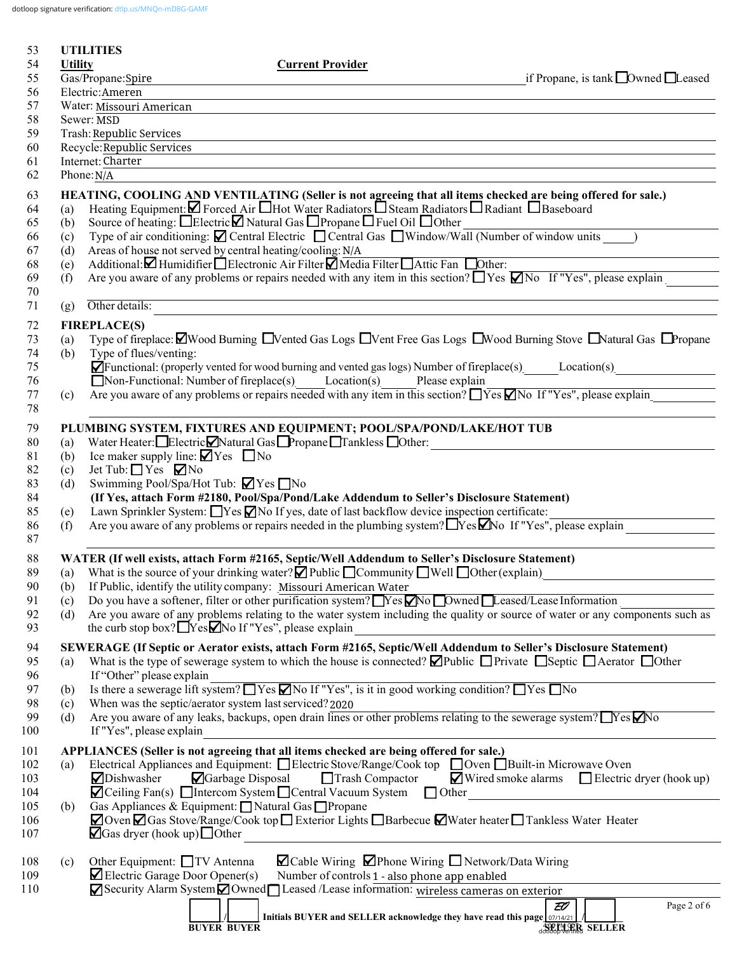dotloop signature verification: [dtlp.us/MNQn-mD8G-GAMF](https://dtlp.us/MNQn-mD8G-GAMF)

| 53         |                | <b>UTILITIES</b>                                       |                                                                                                                                                                                                                                                                                                                                                       |                                                                           |
|------------|----------------|--------------------------------------------------------|-------------------------------------------------------------------------------------------------------------------------------------------------------------------------------------------------------------------------------------------------------------------------------------------------------------------------------------------------------|---------------------------------------------------------------------------|
| 54         | <b>Utility</b> |                                                        | <b>Current Provider</b>                                                                                                                                                                                                                                                                                                                               |                                                                           |
| 55         |                | Gas/Propane:Spire                                      |                                                                                                                                                                                                                                                                                                                                                       | if Propane, is tank $\Box$ Owned $\Box$ Leased                            |
| 56         |                | Electric:Ameren                                        |                                                                                                                                                                                                                                                                                                                                                       |                                                                           |
| 57         |                | Water: Missouri American                               |                                                                                                                                                                                                                                                                                                                                                       |                                                                           |
| 58         |                | Sewer: MSD                                             |                                                                                                                                                                                                                                                                                                                                                       |                                                                           |
| 59         |                | Trash: Republic Services<br>Recycle: Republic Services |                                                                                                                                                                                                                                                                                                                                                       |                                                                           |
| 60<br>61   |                | Internet: Charter                                      |                                                                                                                                                                                                                                                                                                                                                       |                                                                           |
| 62         |                | Phone: N/A                                             |                                                                                                                                                                                                                                                                                                                                                       |                                                                           |
|            |                |                                                        |                                                                                                                                                                                                                                                                                                                                                       |                                                                           |
| 63         |                |                                                        | HEATING, COOLING AND VENTILATING (Seller is not agreeing that all items checked are being offered for sale.)                                                                                                                                                                                                                                          |                                                                           |
| 64<br>65   | (a)<br>(b)     |                                                        | Heating Equipment: Ø Forced Air Hot Water Radiators DSteam Radiators D Radiant D Baseboard<br>Source of heating: □Electric□ Natural Gas □ Propane □ Fuel Oil □ Other                                                                                                                                                                                  |                                                                           |
| 66         | (c)            |                                                        | Type of air conditioning: $\blacksquare$ Central Electric $\blacksquare$ Central Gas $\blacksquare$ Window/Wall (Number of window units )                                                                                                                                                                                                             |                                                                           |
| 67         | (d)            |                                                        | Areas of house not served by central heating/cooling: N/A                                                                                                                                                                                                                                                                                             |                                                                           |
| 68         | (e)            |                                                        | Additional: Humidifier DElectronic Air Filter Dela Filter DAttic Fan DOther:                                                                                                                                                                                                                                                                          |                                                                           |
| 69         | (f)            |                                                        | Are you aware of any problems or repairs needed with any item in this section? I Yes Mo If "Yes", please explain                                                                                                                                                                                                                                      |                                                                           |
| 70         |                |                                                        |                                                                                                                                                                                                                                                                                                                                                       |                                                                           |
| 71         | (g)            | Other details:                                         | <u> 1989 - Johann Stein, mars an deutscher Stein und der Stein und der Stein und der Stein und der Stein und der</u><br>the control of the control of the control of the control of the control of the control of the control of the control of the control of the control of the control of the control of the control of the control of the control |                                                                           |
| 72         |                | <b>FIREPLACE(S)</b>                                    |                                                                                                                                                                                                                                                                                                                                                       |                                                                           |
| 73         | (a)            |                                                        | Type of fireplace: $\Box$ Wood Burning $\Box$ Vented Gas Logs $\Box$ Vent Free Gas Logs $\Box$ Wood Burning Stove $\Box$ Natural Gas $\Box$ Propane                                                                                                                                                                                                   |                                                                           |
| 74         | (b)            | Type of flues/venting:                                 |                                                                                                                                                                                                                                                                                                                                                       |                                                                           |
| 75         |                |                                                        | Functional: (properly vented for wood burning and vented gas logs) Number of fireplace(s) Location(s)                                                                                                                                                                                                                                                 |                                                                           |
| 76         |                |                                                        | $\Box$ Non-Functional: Number of fireplace(s) Location(s)<br>Please explain                                                                                                                                                                                                                                                                           |                                                                           |
| 77         | (c)            |                                                        | Are you aware of any problems or repairs needed with any item in this section? $\Box$ Yes $\Box$ No If "Yes", please explain                                                                                                                                                                                                                          |                                                                           |
| 78         |                |                                                        |                                                                                                                                                                                                                                                                                                                                                       |                                                                           |
| 79         |                |                                                        | PLUMBING SYSTEM, FIXTURES AND EQUIPMENT; POOL/SPA/POND/LAKE/HOT TUB                                                                                                                                                                                                                                                                                   |                                                                           |
| 80         | (a)            |                                                        | Water Heater: Electric Matural Gas Propane Tankless Other:                                                                                                                                                                                                                                                                                            |                                                                           |
| 81         | (b)            |                                                        | Ice maker supply line: $\Box$ Yes $\Box$ No                                                                                                                                                                                                                                                                                                           |                                                                           |
| 82         | (c)            | Jet Tub: $\Box$ Yes $\Box$ No                          |                                                                                                                                                                                                                                                                                                                                                       |                                                                           |
| 83         | (d)            |                                                        | Swimming Pool/Spa/Hot Tub: Ø Yes ■No                                                                                                                                                                                                                                                                                                                  |                                                                           |
| 84         |                |                                                        | (If Yes, attach Form #2180, Pool/Spa/Pond/Lake Addendum to Seller's Disclosure Statement)                                                                                                                                                                                                                                                             |                                                                           |
| 85         | (e)            |                                                        | Lawn Sprinkler System: Nes No If yes, date of last backflow device inspection certificate:                                                                                                                                                                                                                                                            |                                                                           |
| 86         | (f)            |                                                        | Are you aware of any problems or repairs needed in the plumbing system? TYes Mo If "Yes", please explain                                                                                                                                                                                                                                              |                                                                           |
| 87         |                |                                                        |                                                                                                                                                                                                                                                                                                                                                       |                                                                           |
| 88         |                |                                                        | WATER (If well exists, attach Form #2165, Septic/Well Addendum to Seller's Disclosure Statement)                                                                                                                                                                                                                                                      |                                                                           |
| 89         |                |                                                        | (a) What is the source of your drinking water? $\blacksquare$ Public $\blacksquare$ Community $\blacksquare$ Well $\blacksquare$ Other (explain)                                                                                                                                                                                                      |                                                                           |
| 90         | (b)            |                                                        | If Public, identify the utility company: Missouri American Water                                                                                                                                                                                                                                                                                      |                                                                           |
| 91         | (c)            |                                                        | Do you have a softener, filter or other purification system? $\Box$ Yes $\Box$ No $\Box$ Owned $\Box$ Leased/Lease Information                                                                                                                                                                                                                        |                                                                           |
| 92         | (d)            |                                                        | Are you aware of any problems relating to the water system including the quality or source of water or any components such as                                                                                                                                                                                                                         |                                                                           |
| 93         |                |                                                        | the curb stop box? $\Box$ Yes $\Box$ No If "Yes", please explain                                                                                                                                                                                                                                                                                      |                                                                           |
| 94         |                |                                                        | SEWERAGE (If Septic or Aerator exists, attach Form #2165, Septic/Well Addendum to Seller's Disclosure Statement)                                                                                                                                                                                                                                      |                                                                           |
| 95         | (a)            |                                                        | What is the type of sewerage system to which the house is connected? $\Box$ Public $\Box$ Private $\Box$ Septic $\Box$ Aerator $\Box$ Other                                                                                                                                                                                                           |                                                                           |
| 96         |                | If "Other" please explain                              |                                                                                                                                                                                                                                                                                                                                                       |                                                                           |
| 97         | (b)            |                                                        | Is there a sewerage lift system? $\Box$ Yes $\Box$ No If "Yes", is it in good working condition? $\Box$ Yes $\Box$ No                                                                                                                                                                                                                                 |                                                                           |
| 98         | (c)            |                                                        | When was the septic/aerator system last serviced? 2020<br>Are you aware of any leaks, backups, open drain lines or other problems relating to the sewerage system? $\Box$ Yes $\Box$ No                                                                                                                                                               |                                                                           |
| 99<br>100  | (d)            | If "Yes", please explain                               |                                                                                                                                                                                                                                                                                                                                                       |                                                                           |
|            |                |                                                        |                                                                                                                                                                                                                                                                                                                                                       |                                                                           |
| 101        |                |                                                        | APPLIANCES (Seller is not agreeing that all items checked are being offered for sale.)                                                                                                                                                                                                                                                                |                                                                           |
| 102        | (a)            |                                                        | Electrical Appliances and Equipment: $\Box$ Electric Stove/Range/Cook top $\Box$ Oven $\Box$ Built-in Microwave Oven                                                                                                                                                                                                                                  |                                                                           |
| 103        |                | Dishwasher                                             | Garbage Disposal<br>Trash Compactor                                                                                                                                                                                                                                                                                                                   | $\blacksquare$ Wired smoke alarms $\blacksquare$ Electric dryer (hook up) |
| 104        |                |                                                        | $\blacksquare$ Ceiling Fan(s) $\blacksquare$ Intercom System $\blacksquare$ Central Vacuum System $\blacksquare$ Other<br>Gas Appliances & Equipment: Natural Gas Propane                                                                                                                                                                             |                                                                           |
| 105<br>106 | (b)            |                                                        | ○ Oven ○ Gas Stove/Range/Cook top □ Exterior Lights □ Barbecue ■ Water heater □ Tankless Water Heater                                                                                                                                                                                                                                                 |                                                                           |
| 107        |                |                                                        | $\Box$ Gas dryer (hook up) $\Box$ Other                                                                                                                                                                                                                                                                                                               |                                                                           |
|            |                |                                                        |                                                                                                                                                                                                                                                                                                                                                       |                                                                           |
| 108        | (c)            |                                                        | <b>△ Cable Wiring △ Phone Wiring ■ Network/Data Wiring</b><br>Other Equipment: □TV Antenna                                                                                                                                                                                                                                                            |                                                                           |
| 109        |                |                                                        | $\blacktriangleright$ Electric Garage Door Opener(s)<br>Number of controls 1 - also phone app enabled                                                                                                                                                                                                                                                 |                                                                           |
| 110        |                |                                                        | Security Alarm System ⊠ Owned I Leased /Lease information: wireless cameras on exterior                                                                                                                                                                                                                                                               |                                                                           |
|            |                |                                                        |                                                                                                                                                                                                                                                                                                                                                       | Page 2 of 6<br>EO                                                         |
|            |                |                                                        | Initials BUYER and SELLER acknowledge they have read this page 07/14/21<br><b>BUYER BUYER</b>                                                                                                                                                                                                                                                         | <b>SELLER</b> SELLER                                                      |
|            |                |                                                        |                                                                                                                                                                                                                                                                                                                                                       |                                                                           |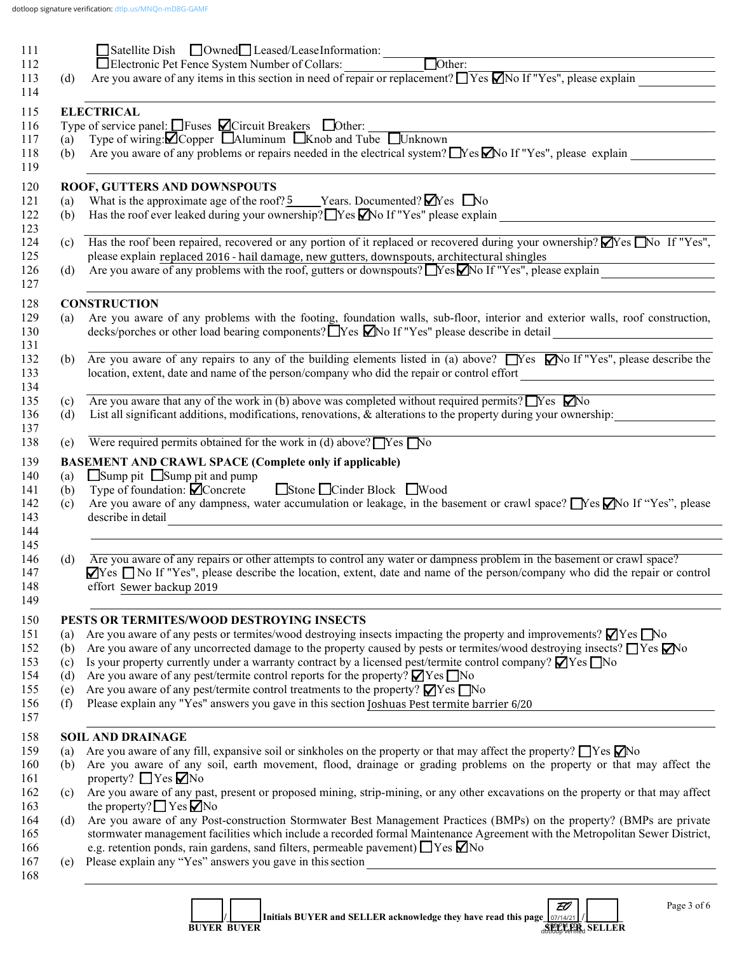|     | Satellite Dish □ Owned□ Leased/LeaseInformation:                                                                                                                   |
|-----|--------------------------------------------------------------------------------------------------------------------------------------------------------------------|
|     | $\Box$ Other:<br>Electronic Pet Fence System Number of Collars:                                                                                                    |
| (d) | Are you aware of any items in this section in need of repair or replacement? $\Box$ Yes $\Box$ No If "Yes", please explain                                         |
|     | <b>ELECTRICAL</b>                                                                                                                                                  |
|     | Type of service panel: Thuses Multicuit Breakers Cother: The Unknown<br>(a) Type of wiring: Multicopper Caluminum CKnob and Tube CUnknown                          |
|     |                                                                                                                                                                    |
| (b) | Are you aware of any problems or repairs needed in the electrical system? $\Box$ Yes $\Box$ No If "Yes", please explain                                            |
|     | ROOF, GUTTERS AND DOWNSPOUTS                                                                                                                                       |
| (a) | What is the approximate age of the roof? $5$ Years. Documented? $\blacksquare$ Yes $\blacksquare$ No                                                               |
| (b) | Has the roof ever leaked during your ownership? Yes Mo If "Yes" please explain _______________________________                                                     |
| (c) | Has the roof been repaired, recovered or any portion of it replaced or recovered during your ownership? $\blacktriangledown$ Yes $\blacktriangledown$ No If "Yes", |
|     | please explain replaced 2016 - hail damage, new gutters, downspouts, architectural shingles                                                                        |
| (d) | Are you aware of any problems with the roof, gutters or downspouts? Nes No If "Yes", please explain                                                                |
|     | <b>CONSTRUCTION</b>                                                                                                                                                |
| (a) | Are you aware of any problems with the footing, foundation walls, sub-floor, interior and exterior walls, roof construction,                                       |
|     | decks/porches or other load bearing components? Nes Mo If "Yes" please describe in detail                                                                          |
|     | (b) Are you aware of any repairs to any of the building elements listed in (a) above? $\Box$ Yes $\Box$ No If "Yes", please describe the                           |
|     | location, extent, date and name of the person/company who did the repair or control effort                                                                         |
| (c) | Are you aware that any of the work in (b) above was completed without required permits? $\Box$ Yes $\nabla$ No                                                     |
| (d) | List all significant additions, modifications, renovations, & alterations to the property during your ownership:                                                   |
| (e) | Were required permits obtained for the work in (d) above? $\Box$ Yes $\Box$ No                                                                                     |
|     | <b>BASEMENT AND CRAWL SPACE (Complete only if applicable)</b>                                                                                                      |
| (a) | $\Box$ Sump pit $\Box$ Sump pit and pump                                                                                                                           |
| (b) | Type of foundation: <b>○</b> Concrete Stone Cinder Block Wood                                                                                                      |
| (c) | Are you aware of any dampness, water accumulation or leakage, in the basement or crawl space? No If "Yes", please                                                  |
|     | describe in detail<br><u> 1989 - Johann Stoff, deutscher Stoff, der Stoff, der Stoff, der Stoff, der Stoff, der Stoff, der Stoff, der S</u>                        |
|     |                                                                                                                                                                    |
| (d) | Are you aware of any repairs or other attempts to control any water or dampness problem in the basement or crawl space?                                            |
|     | ⊠Yes □ No If "Yes", please describe the location, extent, date and name of the person/company who did the repair or control                                        |
|     | effort Sewer backup 2019                                                                                                                                           |
|     | PESTS OR TERMITES/WOOD DESTROYING INSECTS                                                                                                                          |
| (a) | Are you aware of any pests or termites/wood destroying insects impacting the property and improvements? $\Box$ Yes $\Box$ No                                       |
| (b) | Are you aware of any uncorrected damage to the property caused by pests or termites/wood destroying insects? $\Box$ Yes $\Box$ No                                  |
| (c) | Is your property currently under a warranty contract by a licensed pest/termite control company? $\Box$ Yes $\Box$ No                                              |
| (d) | Are you aware of any pest/termite control reports for the property? $\Box$ Yes $\Box$ No                                                                           |
| (e) | Are you aware of any pest/termite control treatments to the property? $\blacksquare$ Yes $\blacksquare$ No                                                         |
| (f) | Please explain any "Yes" answers you gave in this section Joshuas Pest termite barrier 6/20                                                                        |
|     | <b>SOIL AND DRAINAGE</b>                                                                                                                                           |
| (a) | Are you aware of any fill, expansive soil or sinkholes on the property or that may affect the property? $\Box$ Yes $\Box$ No                                       |
| (b) | Are you aware of any soil, earth movement, flood, drainage or grading problems on the property or that may affect the                                              |
|     | property? $\Box$ Yes $\nabla$ No                                                                                                                                   |
| (c) | Are you aware of any past, present or proposed mining, strip-mining, or any other excavations on the property or that may affect                                   |
|     | the property? $\Box$ Yes $\Box$ No                                                                                                                                 |
| (d) | Are you aware of any Post-construction Stormwater Best Management Practices (BMPs) on the property? (BMPs are private                                              |
|     | stormwater management facilities which include a recorded formal Maintenance Agreement with the Metropolitan Sewer District,                                       |
| (e) | e.g. retention ponds, rain gardens, sand filters, permeable pavement) $\Box$ Yes $\nabla$ No<br>Please explain any "Yes" answers you gave in this section          |
|     |                                                                                                                                                                    |
|     | Page 3 of 6<br>EO                                                                                                                                                  |
|     | Initials BUYER and SELLER acknowledge they have read this page 07/14/21<br><b>SECRATER</b> SELLER<br><b>BUYER BUYER</b>                                            |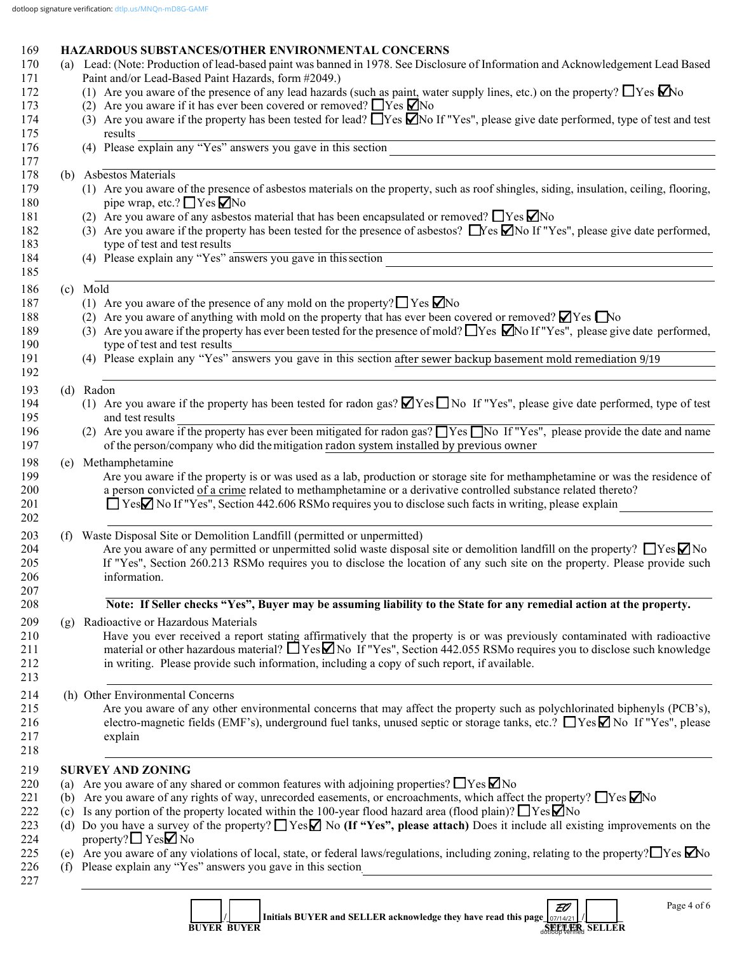# 169 **HAZARDOUS SUBSTANCES/OTHER ENVIRONMENTAL CONCERNS**

|     | (a) Lead: (Note: Production of lead-based paint was banned in 1978. See Disclosure of Information and Acknowledgement Lead Based<br>Paint and/or Lead-Based Paint Hazards, form #2049.) |
|-----|-----------------------------------------------------------------------------------------------------------------------------------------------------------------------------------------|
|     | (1) Are you aware of the presence of any lead hazards (such as paint, water supply lines, etc.) on the property? $\Box$ Yes $\Box$ No                                                   |
|     | (2) Are you aware if it has ever been covered or removed? $\Box$ Yes $\Box$ No                                                                                                          |
|     | (3) Are you aware if the property has been tested for lead? $\Box$ Yes $\Box$ No If "Yes", please give date performed, type of test and test                                            |
|     | results                                                                                                                                                                                 |
|     | (4) Please explain any "Yes" answers you gave in this section<br><u> 1989 - Johann John Stein, markin fizik eta idazlearia (h. 1989).</u>                                               |
|     | (b) Asbestos Materials                                                                                                                                                                  |
|     | (1) Are you aware of the presence of asbestos materials on the property, such as roof shingles, siding, insulation, ceiling, flooring,                                                  |
|     | pipe wrap, etc.? $\Box$ Yes $\nabla$ No                                                                                                                                                 |
|     | (2) Are you aware of any asbestos material that has been encapsulated or removed? $\Box$ Yes $\Box$ No                                                                                  |
|     | (3) Are you aware if the property has been tested for the presence of asbestos? $\Box$ Yes $\Box$ No If "Yes", please give date performed,<br>type of test and test results             |
|     | (4) Please explain any "Yes" answers you gave in this section<br><u> 1989 - Johann John Stein, markin fyrstu og fyrstu og fyrir og fyrir og fyrir og fyrir og fyrir og fyrir og f</u>   |
|     |                                                                                                                                                                                         |
|     | (c) Mold                                                                                                                                                                                |
|     | (1) Are you aware of the presence of any mold on the property? $\Box$ Yes $\Box$ No                                                                                                     |
|     | (2) Are you aware of anything with mold on the property that has ever been covered or removed? $\Box$ Yes $\Box$ No                                                                     |
|     | (3) Are you aware if the property has ever been tested for the presence of mold? Tyes Mo If "Yes", please give date performed,<br>type of test and test results                         |
|     | (4) Please explain any "Yes" answers you gave in this section after sewer backup basement mold remediation 9/19                                                                         |
|     |                                                                                                                                                                                         |
|     | (d) Radon                                                                                                                                                                               |
|     | (1) Are you aware if the property has been tested for radon gas? $\Box$ Yes $\Box$ No If "Yes", please give date performed, type of test<br>and test results                            |
|     | (2) Are you aware if the property has ever been mitigated for radon gas? No If "Yes", please provide the date and name                                                                  |
|     | of the person/company who did the mitigation radon system installed by previous owner                                                                                                   |
|     | (e) Methamphetamine                                                                                                                                                                     |
|     | Are you aware if the property is or was used as a lab, production or storage site for methamphetamine or was the residence of                                                           |
|     | a person convicted of a crime related to methamphetamine or a derivative controlled substance related thereto?                                                                          |
|     | □ Yes <b>Ø</b> No If "Yes", Section 442.606 RSMo requires you to disclose such facts in writing, please explain                                                                         |
|     | (f) Waste Disposal Site or Demolition Landfill (permitted or unpermitted)                                                                                                               |
|     | Are you aware of any permitted or unpermitted solid waste disposal site or demolition landfill on the property? $\Box$ Yes $\Box$ No                                                    |
|     | If "Yes", Section 260.213 RSMo requires you to disclose the location of any such site on the property. Please provide such                                                              |
|     | information.                                                                                                                                                                            |
|     |                                                                                                                                                                                         |
|     | Note: If Seller checks "Yes", Buyer may be assuming liability to the State for any remedial action at the property.                                                                     |
|     | (g) Radioactive or Hazardous Materials                                                                                                                                                  |
|     | Have you ever received a report stating affirmatively that the property is or was previously contaminated with radioactive                                                              |
|     | material or other hazardous material? Ness <sup>N</sup> No If "Yes", Section 442.055 RSMo requires you to disclose such knowledge                                                       |
|     | in writing. Please provide such information, including a copy of such report, if available.                                                                                             |
|     |                                                                                                                                                                                         |
|     | (h) Other Environmental Concerns<br>Are you aware of any other environmental concerns that may affect the property such as polychlorinated biphenyls (PCB's),                           |
|     | electro-magnetic fields (EMF's), underground fuel tanks, unused septic or storage tanks, etc.? ■ Yes No If "Yes", please                                                                |
|     | explain                                                                                                                                                                                 |
|     |                                                                                                                                                                                         |
|     | <b>SURVEY AND ZONING</b>                                                                                                                                                                |
|     | (a) Are you aware of any shared or common features with adjoining properties? $\Box$ Yes $\Box$ No                                                                                      |
| (b) | Are you aware of any rights of way, unrecorded easements, or encroachments, which affect the property? $\Box$ Yes $\Box$ No                                                             |
| (c) | Is any portion of the property located within the 100-year flood hazard area (flood plain)? $\Box$ Yes $\Box$ No                                                                        |
|     | (d) Do you have a survey of the property? $\Box$ Yes $\Box$ No (If "Yes", please attach) Does it include all existing improvements on the                                               |
|     | property? $\Box$ Yes $\Box$ No                                                                                                                                                          |
|     | (e) Are you aware of any violations of local, state, or federal laws/regulations, including zoning, relating to the property? $\Box$ Yes $\Box$ No                                      |
|     | (f) Please explain any "Yes" answers you gave in this section<br><u> 1980 - Antonio Alemania, prima postala de la contrada de la contrada de la contrada de la contrada de la con</u>   |
|     |                                                                                                                                                                                         |
|     | Page 4 of 6<br>EO                                                                                                                                                                       |

|                    | [17/14/21] Initials BUYER and SELLER acknowledge they have read this page |                         |  |
|--------------------|---------------------------------------------------------------------------|-------------------------|--|
| <b>BUYER BUYER</b> |                                                                           | dottoop vertiled SELLER |  |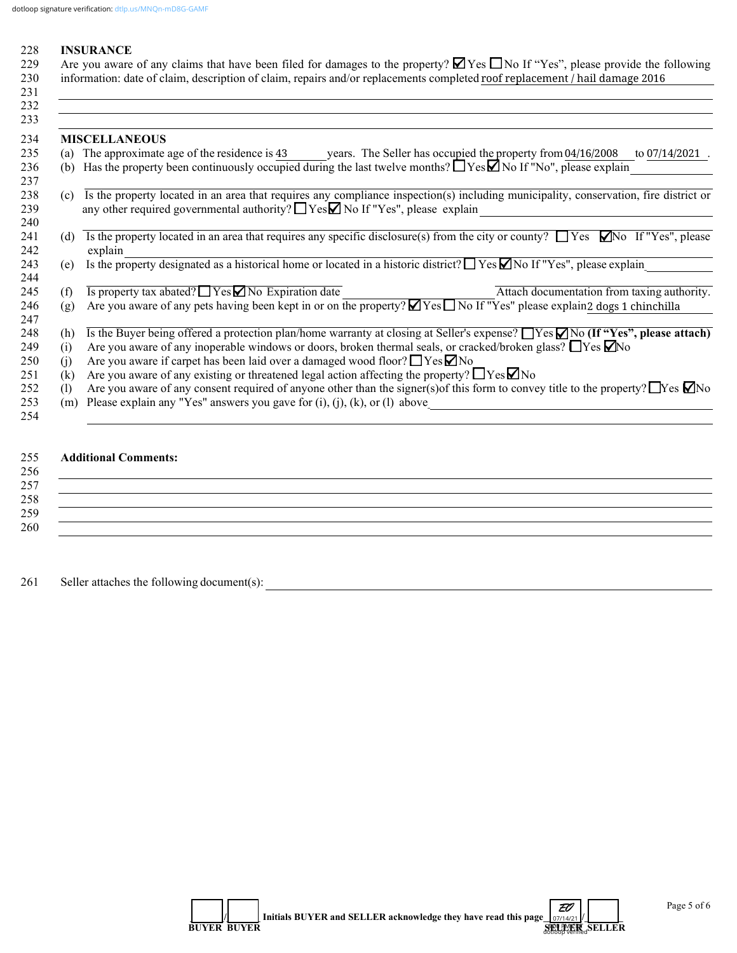#### 228 **INSURANCE**

229 Are you aware of any claims that have been filed for damages to the property?  $\Box$  Yes  $\Box$  No If "Yes", please provide the following 230 information: date of claim, description of claim, repairs and/or replacements completed roof replacement / hail damage 2016  $231$ 

| 232        |     |                                                                                                                                             |
|------------|-----|---------------------------------------------------------------------------------------------------------------------------------------------|
| 233<br>234 |     | <b>MISCELLANEOUS</b>                                                                                                                        |
|            |     |                                                                                                                                             |
| 235        | (a) | The approximate age of the residence is 43 years. The Seller has occupied the property from 04/16/2008<br>to 07/14/2021                     |
| 236<br>237 | (b) | Has the property been continuously occupied during the last twelve months? $\Box$ Yes $\Box$ No If "No", please explain                     |
| 238        | (c) | Is the property located in an area that requires any compliance inspection(s) including municipality, conservation, fire district or        |
| 239        |     | any other required governmental authority? ■ Yes M No If "Yes", please explain                                                              |
| 240        |     |                                                                                                                                             |
| 241        | (d) | Is the property located in an area that requires any specific disclosure(s) from the city or county? $\Box$ Yes $\Box$ No If "Yes", please  |
| 242        |     | explain                                                                                                                                     |
| 243        | (e) | Is the property designated as a historical home or located in a historic district? $\Box$ Yes $\Box$ No If "Yes", please explain            |
| 244        |     |                                                                                                                                             |
| 245        | (f) | Is property tax abated? $\Box$ Yes $\Box$ No Expiration date<br>Attach documentation from taxing authority.                                 |
| 246        | (g) | Are you aware of any pets having been kept in or on the property? $\Box$ Yes $\Box$ No If "Yes" please explain2 dogs 1 chinchilla           |
| 247        |     |                                                                                                                                             |
| 248        | (h) | Is the Buyer being offered a protection plan/home warranty at closing at Seller's expense? TYes No (If "Yes", please attach)                |
| 249        | (i) | Are you aware of any inoperable windows or doors, broken thermal seals, or cracked/broken glass? $\Box$ Yes $\Box$ No                       |
| 250        | (1) | Are you aware if carpet has been laid over a damaged wood floor? $\Box$ Yes $\nabla$ No                                                     |
| 251        | (k) | Are you aware of any existing or threatened legal action affecting the property? $\Box$ Yes $\Box$ No                                       |
| 252        | (1) | Are you aware of any consent required of anyone other than the signer(s) of this form to convey title to the property? $\Box$ Yes $\Box$ No |
| 253        | (m) | Please explain any "Yes" answers you gave for $(i)$ , $(j)$ , $(k)$ , or $(l)$ above                                                        |
| 254        |     |                                                                                                                                             |

#### 255 **Additional Comments:**

### $256$  $257$ 258 \_\_\_\_\_\_\_\_\_\_\_\_\_\_\_\_\_\_\_\_\_\_\_\_\_\_\_\_\_\_\_\_\_\_\_\_\_\_\_\_\_\_\_\_\_\_\_\_\_\_\_\_\_\_\_\_\_\_\_\_\_\_\_\_\_\_\_\_\_\_\_\_\_\_\_\_\_\_\_\_\_\_\_\_\_\_\_\_\_\_\_\_\_\_\_\_\_\_\_\_\_\_\_\_\_\_\_\_ 259 \_\_\_\_\_\_\_\_\_\_\_\_\_\_\_\_\_\_\_\_\_\_\_\_\_\_\_\_\_\_\_\_\_\_\_\_\_\_\_\_\_\_\_\_\_\_\_\_\_\_\_\_\_\_\_\_\_\_\_\_\_\_\_\_\_\_\_\_\_\_\_\_\_\_\_\_\_\_\_\_\_\_\_\_\_\_\_\_\_\_\_\_\_\_\_\_\_\_\_\_\_\_\_\_\_\_\_\_ 260 \_\_\_\_\_\_\_\_\_\_\_\_\_\_\_\_\_\_\_\_\_\_\_\_\_\_\_\_\_\_\_\_\_\_\_\_\_\_\_\_\_\_\_\_\_\_\_\_\_\_\_\_\_\_\_\_\_\_\_\_\_\_\_\_\_\_\_\_\_\_\_\_\_\_\_\_\_\_\_\_\_\_\_\_\_\_\_\_\_\_\_\_\_\_\_\_\_\_\_\_\_\_\_\_\_\_\_\_

 $261$  Seller attaches the following document(s):